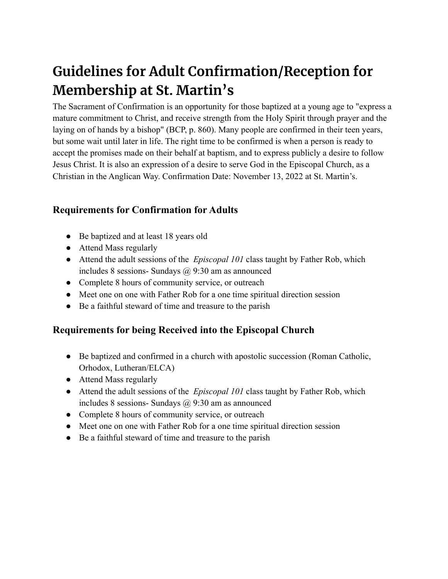## **Guidelines for Adult Confirmation/Reception for Membership at St. Martin's**

The Sacrament of Confirmation is an opportunity for those baptized at a young age to "express a mature commitment to Christ, and receive strength from the Holy Spirit through prayer and the laying on of hands by a bishop" (BCP, p. 860). Many people are confirmed in their teen years, but some wait until later in life. The right time to be confirmed is when a person is ready to accept the promises made on their behalf at baptism, and to express publicly a desire to follow Jesus Christ. It is also an expression of a desire to serve God in the Episcopal Church, as a Christian in the Anglican Way. Confirmation Date: November 13, 2022 at St. Martin's.

## **Requirements for Confirmation for Adults**

- Be baptized and at least 18 years old
- Attend Mass regularly
- Attend the adult sessions of the *Episcopal 101* class taught by Father Rob, which includes 8 sessions- Sundays  $\omega$  9:30 am as announced
- Complete 8 hours of community service, or outreach
- Meet one on one with Father Rob for a one time spiritual direction session
- Be a faithful steward of time and treasure to the parish

## **Requirements for being Received into the Episcopal Church**

- Be baptized and confirmed in a church with apostolic succession (Roman Catholic, Orhodox, Lutheran/ELCA)
- Attend Mass regularly
- Attend the adult sessions of the *Episcopal 101* class taught by Father Rob, which includes 8 sessions- Sundays @ 9:30 am as announced
- Complete 8 hours of community service, or outreach
- Meet one on one with Father Rob for a one time spiritual direction session
- Be a faithful steward of time and treasure to the parish